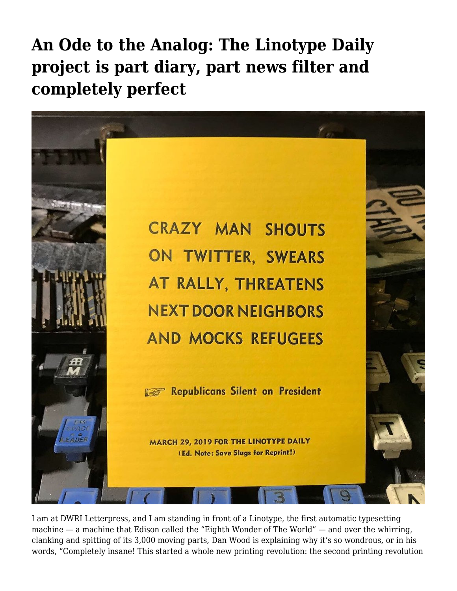**[An Ode to the Analog: The Linotype Daily](https://motifri.com/linotypedaily/) [project is part diary, part news filter and](https://motifri.com/linotypedaily/) [completely perfect](https://motifri.com/linotypedaily/)**



I am at DWRI Letterpress, and I am standing in front of a Linotype, the first automatic typesetting machine — a machine that Edison called the "Eighth Wonder of The World" — and over the whirring, clanking and spitting of its 3,000 moving parts, Dan Wood is explaining why it's so wondrous, or in his words, "Completely insane! This started a whole new printing revolution: the second printing revolution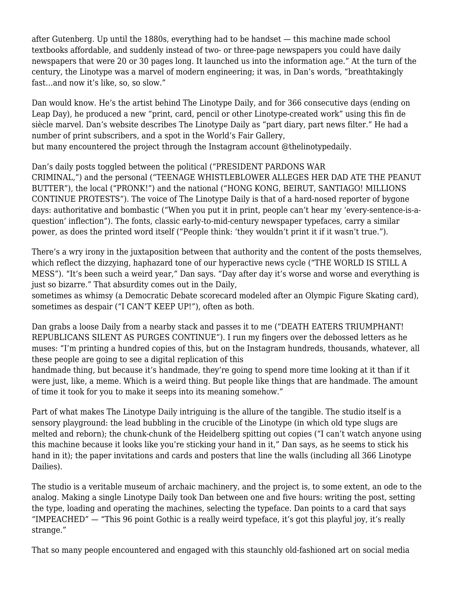after Gutenberg. Up until the 1880s, everything had to be handset — this machine made school textbooks affordable, and suddenly instead of two- or three-page newspapers you could have daily newspapers that were 20 or 30 pages long. It launched us into the information age." At the turn of the century, the Linotype was a marvel of modern engineering; it was, in Dan's words, "breathtakingly fast…and now it's like, so, so slow."

Dan would know. He's the artist behind The Linotype Daily, and for 366 consecutive days (ending on Leap Day), he produced a new "print, card, pencil or other Linotype-created work" using this fin de siècle marvel. Dan's website describes The Linotype Daily as "part diary, part news filter." He had a number of print subscribers, and a spot in the World's Fair Gallery, but many encountered the project through the Instagram account @thelinotypedaily.

Dan's daily posts toggled between the political ("PRESIDENT PARDONS WAR CRIMINAL,") and the personal ("TEENAGE WHISTLEBLOWER ALLEGES HER DAD ATE THE PEANUT BUTTER"), the local ("PRONK!") and the national ("HONG KONG, BEIRUT, SANTIAGO! MILLIONS CONTINUE PROTESTS"). The voice of The Linotype Daily is that of a hard-nosed reporter of bygone days: authoritative and bombastic ("When you put it in print, people can't hear my 'every-sentence-is-aquestion' inflection"). The fonts, classic early-to-mid-century newspaper typefaces, carry a similar power, as does the printed word itself ("People think: 'they wouldn't print it if it wasn't true.").

There's a wry irony in the juxtaposition between that authority and the content of the posts themselves, which reflect the dizzying, haphazard tone of our hyperactive news cycle ("THE WORLD IS STILL A MESS"). "It's been such a weird year," Dan says. "Day after day it's worse and worse and everything is just so bizarre." That absurdity comes out in the Daily,

sometimes as whimsy (a Democratic Debate scorecard modeled after an Olympic Figure Skating card), sometimes as despair ("I CAN'T KEEP UP!"), often as both.

Dan grabs a loose Daily from a nearby stack and passes it to me ("DEATH EATERS TRIUMPHANT! REPUBLICANS SILENT AS PURGES CONTINUE"). I run my fingers over the debossed letters as he muses: "I'm printing a hundred copies of this, but on the Instagram hundreds, thousands, whatever, all these people are going to see a digital replication of this

handmade thing, but because it's handmade, they're going to spend more time looking at it than if it were just, like, a meme. Which is a weird thing. But people like things that are handmade. The amount of time it took for you to make it seeps into its meaning somehow."

Part of what makes The Linotype Daily intriguing is the allure of the tangible. The studio itself is a sensory playground: the lead bubbling in the crucible of the Linotype (in which old type slugs are melted and reborn); the chunk-chunk of the Heidelberg spitting out copies ("I can't watch anyone using this machine because it looks like you're sticking your hand in it," Dan says, as he seems to stick his hand in it); the paper invitations and cards and posters that line the walls (including all 366 Linotype Dailies).

The studio is a veritable museum of archaic machinery, and the project is, to some extent, an ode to the analog. Making a single Linotype Daily took Dan between one and five hours: writing the post, setting the type, loading and operating the machines, selecting the typeface. Dan points to a card that says "IMPEACHED" — "This 96 point Gothic is a really weird typeface, it's got this playful joy, it's really strange."

That so many people encountered and engaged with this staunchly old-fashioned art on social media